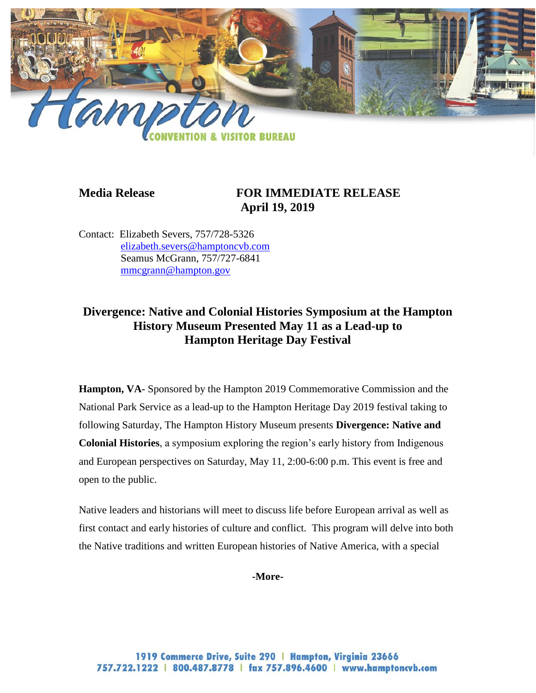

# **Media Release FOR IMMEDIATE RELEASE April 19, 2019**

Contact: Elizabeth Severs, 757/728-5326 [elizabeth.severs@hamptoncvb.com](mailto:elizabeth.severs@hamptoncvb.com) Seamus McGrann, 757/727-6841 [mmcgrann@hampton.gov](mailto:mmcgrann@hampton.gov)

# **Divergence: Native and Colonial Histories Symposium at the Hampton History Museum Presented May 11 as a Lead-up to Hampton Heritage Day Festival**

**Hampton, VA-** Sponsored by the Hampton 2019 Commemorative Commission and the National Park Service as a lead-up to the Hampton Heritage Day 2019 festival taking to following Saturday, The Hampton History Museum presents **Divergence: Native and Colonial Histories**, a symposium exploring the region's early history from Indigenous and European perspectives on Saturday, May 11, 2:00-6:00 p.m. This event is free and open to the public.

Native leaders and historians will meet to discuss life before European arrival as well as first contact and early histories of culture and conflict. This program will delve into both the Native traditions and written European histories of Native America, with a special

**-More-**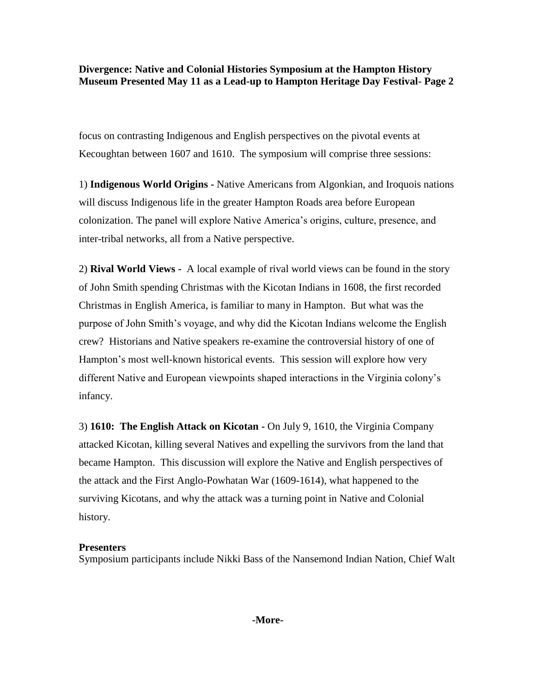## **Divergence: Native and Colonial Histories Symposium at the Hampton History Museum Presented May 11 as a Lead-up to Hampton Heritage Day Festival- Page 2**

focus on contrasting Indigenous and English perspectives on the pivotal events at Kecoughtan between 1607 and 1610. The symposium will comprise three sessions:

1) **Indigenous World Origins -** Native Americans from Algonkian, and Iroquois nations will discuss Indigenous life in the greater Hampton Roads area before European colonization. The panel will explore Native America's origins, culture, presence, and inter-tribal networks, all from a Native perspective.

2) **Rival World Views -** A local example of rival world views can be found in the story of John Smith spending Christmas with the Kicotan Indians in 1608, the first recorded Christmas in English America, is familiar to many in Hampton. But what was the purpose of John Smith's voyage, and why did the Kicotan Indians welcome the English crew? Historians and Native speakers re-examine the controversial history of one of Hampton's most well-known historical events. This session will explore how very different Native and European viewpoints shaped interactions in the Virginia colony's infancy.

3) **1610: The English Attack on Kicotan -** On July 9, 1610, the Virginia Company attacked Kicotan, killing several Natives and expelling the survivors from the land that became Hampton. This discussion will explore the Native and English perspectives of the attack and the First Anglo-Powhatan War (1609-1614), what happened to the surviving Kicotans, and why the attack was a turning point in Native and Colonial history.

## **Presenters**

Symposium participants include Nikki Bass of the Nansemond Indian Nation, Chief Walt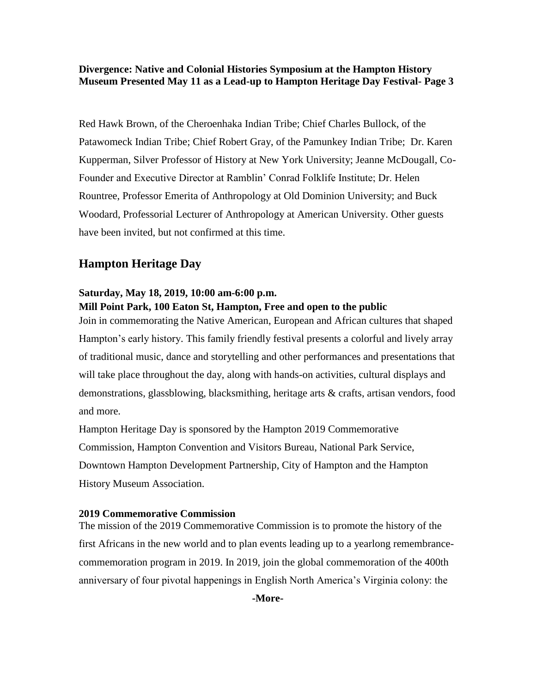**Divergence: Native and Colonial Histories Symposium at the Hampton History Museum Presented May 11 as a Lead-up to Hampton Heritage Day Festival- Page 3**

Red Hawk Brown, of the Cheroenhaka Indian Tribe; Chief Charles Bullock, of the Patawomeck Indian Tribe; Chief Robert Gray, of the Pamunkey Indian Tribe; Dr. Karen Kupperman, Silver Professor of History at New York University; Jeanne McDougall, Co-Founder and Executive Director at Ramblin' Conrad Folklife Institute; Dr. Helen Rountree, Professor Emerita of Anthropology at Old Dominion University; and Buck Woodard, Professorial Lecturer of Anthropology at American University. Other guests have been invited, but not confirmed at this time.

# **Hampton Heritage Day**

# **Saturday, May 18, 2019, 10:00 am-6:00 p.m.**

#### **Mill Point Park, 100 Eaton St, Hampton, Free and open to the public**

Join in commemorating the Native American, European and African cultures that shaped Hampton's early history. This family friendly festival presents a colorful and lively array of traditional music, dance and storytelling and other performances and presentations that will take place throughout the day, along with hands-on activities, cultural displays and demonstrations, glassblowing, blacksmithing, heritage arts & crafts, artisan vendors, food and more.

Hampton Heritage Day is sponsored by the Hampton 2019 Commemorative Commission, Hampton Convention and Visitors Bureau, National Park Service, Downtown Hampton Development Partnership, City of Hampton and the Hampton History Museum Association.

#### **2019 Commemorative Commission**

The mission of the 2019 Commemorative Commission is to promote the history of the first Africans in the new world and to plan events leading up to a yearlong remembrancecommemoration program in 2019. In 2019, join the global commemoration of the 400th anniversary of four pivotal happenings in English North America's Virginia colony: the

**-More-**